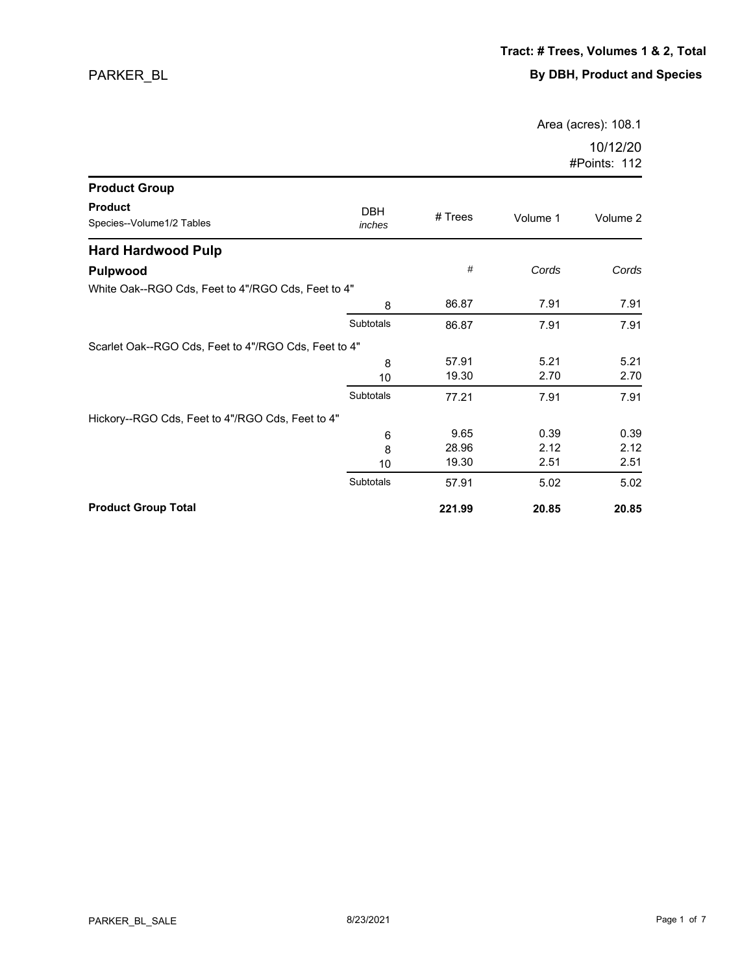Area (acres): 108.1

| <b>Product Group</b>                                 |                      |         |          |          |
|------------------------------------------------------|----------------------|---------|----------|----------|
| <b>Product</b><br>Species--Volume1/2 Tables          | <b>DBH</b><br>inches | # Trees | Volume 1 | Volume 2 |
| <b>Hard Hardwood Pulp</b>                            |                      |         |          |          |
| <b>Pulpwood</b>                                      |                      | #       | Cords    | Cords    |
| White Oak--RGO Cds, Feet to 4"/RGO Cds, Feet to 4"   |                      |         |          |          |
|                                                      | 8                    | 86.87   | 7.91     | 7.91     |
|                                                      | Subtotals            | 86.87   | 7.91     | 7.91     |
| Scarlet Oak--RGO Cds, Feet to 4"/RGO Cds, Feet to 4" |                      |         |          |          |
|                                                      | 8                    | 57.91   | 5.21     | 5.21     |
|                                                      | 10                   | 19.30   | 2.70     | 2.70     |
|                                                      | Subtotals            | 77.21   | 7.91     | 7.91     |
| Hickory--RGO Cds, Feet to 4"/RGO Cds, Feet to 4"     |                      |         |          |          |
|                                                      | 6                    | 9.65    | 0.39     | 0.39     |
|                                                      | 8                    | 28.96   | 2.12     | 2.12     |
|                                                      | 10                   | 19.30   | 2.51     | 2.51     |
|                                                      | Subtotals            | 57.91   | 5.02     | 5.02     |
| <b>Product Group Total</b>                           |                      | 221.99  | 20.85    | 20.85    |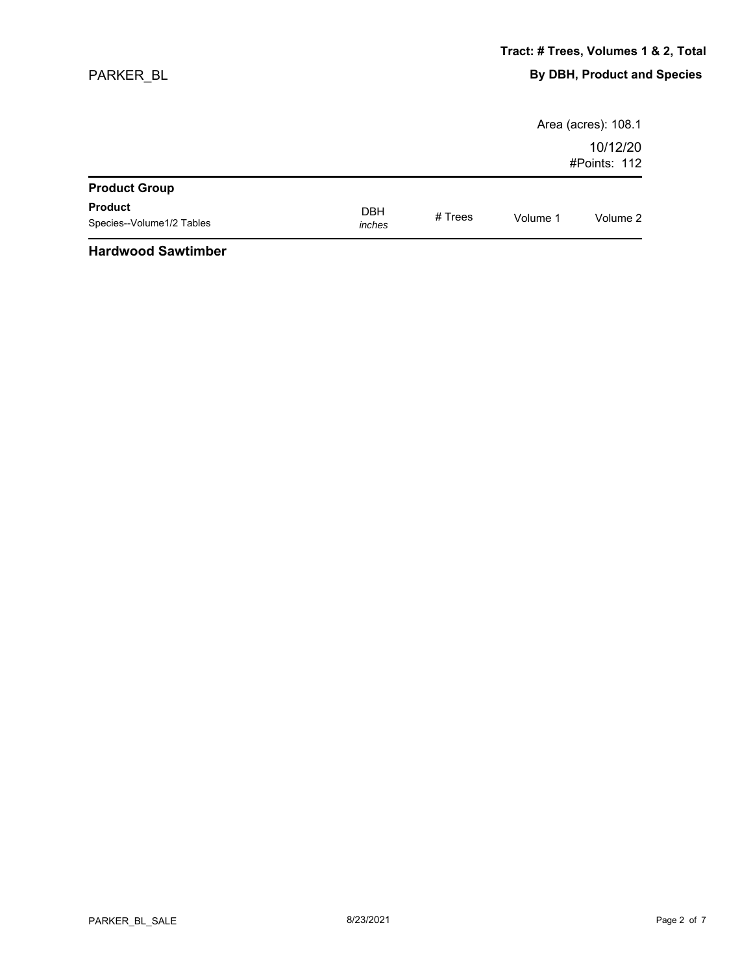|                           |            |           |          | Area (acres): 108.1 |
|---------------------------|------------|-----------|----------|---------------------|
|                           |            |           |          | 10/12/20            |
|                           |            |           |          | #Points: 112        |
| <b>Product Group</b>      |            |           |          |                     |
| <b>Product</b>            | <b>DBH</b> |           |          |                     |
| Species--Volume1/2 Tables | inches     | # $Trees$ | Volume 1 | Volume 2            |
|                           |            |           |          |                     |

#### **Hardwood Sawtimber**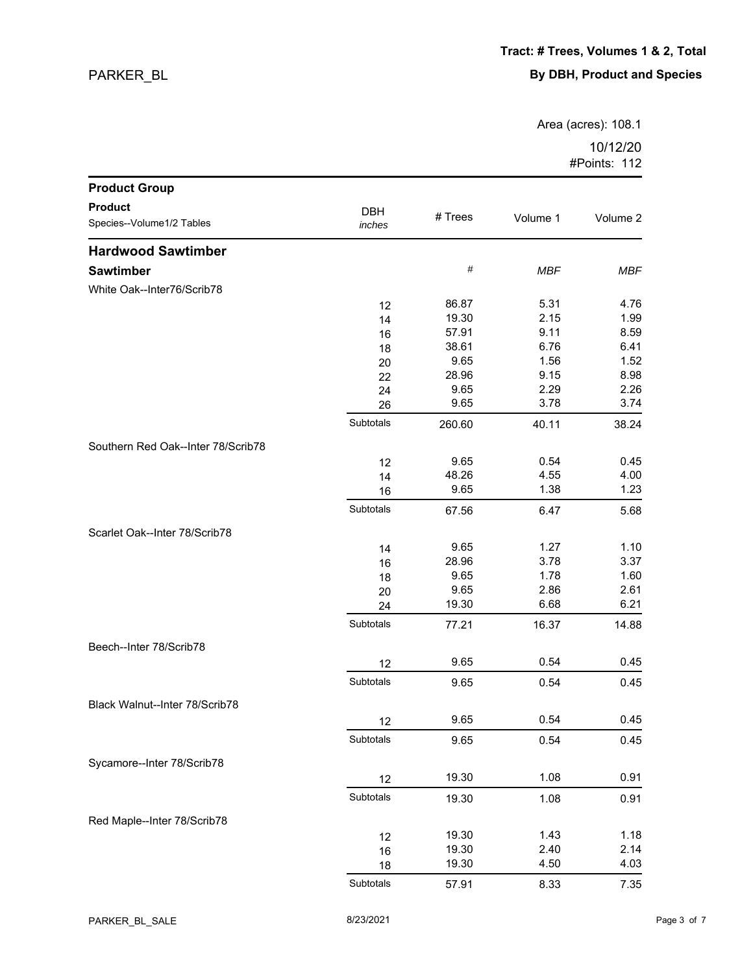Area (acres): 108.1

| <b>Product Group</b>               |            |         |            |            |
|------------------------------------|------------|---------|------------|------------|
| <b>Product</b>                     | <b>DBH</b> |         |            |            |
| Species--Volume1/2 Tables          | inches     | # Trees | Volume 1   | Volume 2   |
| <b>Hardwood Sawtimber</b>          |            |         |            |            |
| <b>Sawtimber</b>                   |            | $\#$    | <b>MBF</b> | <b>MBF</b> |
| White Oak--Inter76/Scrib78         |            |         |            |            |
|                                    | 12         | 86.87   | 5.31       | 4.76       |
|                                    | 14         | 19.30   | 2.15       | 1.99       |
|                                    | 16         | 57.91   | 9.11       | 8.59       |
|                                    | 18         | 38.61   | 6.76       | 6.41       |
|                                    | 20         | 9.65    | 1.56       | 1.52       |
|                                    | 22         | 28.96   | 9.15       | 8.98       |
|                                    | 24         | 9.65    | 2.29       | 2.26       |
|                                    | 26         | 9.65    | 3.78       | 3.74       |
|                                    | Subtotals  | 260.60  | 40.11      | 38.24      |
| Southern Red Oak--Inter 78/Scrib78 |            |         |            |            |
|                                    | 12         | 9.65    | 0.54       | 0.45       |
|                                    | 14         | 48.26   | 4.55       | 4.00       |
|                                    | 16         | 9.65    | 1.38       | 1.23       |
|                                    | Subtotals  | 67.56   | 6.47       | 5.68       |
| Scarlet Oak--Inter 78/Scrib78      |            |         |            |            |
|                                    | 14         | 9.65    | 1.27       | 1.10       |
|                                    | 16         | 28.96   | 3.78       | 3.37       |
|                                    | 18         | 9.65    | 1.78       | 1.60       |
|                                    | 20         | 9.65    | 2.86       | 2.61       |
|                                    | 24         | 19.30   | 6.68       | 6.21       |
|                                    | Subtotals  | 77.21   | 16.37      | 14.88      |
| Beech--Inter 78/Scrib78            |            |         |            |            |
|                                    | 12         | 9.65    | 0.54       | 0.45       |
|                                    | Subtotals  | 9.65    | 0.54       | 0.45       |
| Black Walnut--Inter 78/Scrib78     |            |         |            |            |
|                                    | 12         | 9.65    | 0.54       | 0.45       |
|                                    | Subtotals  | 9.65    | 0.54       | 0.45       |
| Sycamore--Inter 78/Scrib78         |            |         |            |            |
|                                    | 12         | 19.30   | 1.08       | 0.91       |
|                                    | Subtotals  | 19.30   | 1.08       | 0.91       |
| Red Maple--Inter 78/Scrib78        |            |         |            |            |
|                                    | 12         | 19.30   | 1.43       | 1.18       |
|                                    | 16         | 19.30   | 2.40       | 2.14       |
|                                    | 18         | 19.30   | 4.50       | 4.03       |
|                                    | Subtotals  | 57.91   | 8.33       | 7.35       |
|                                    |            |         |            |            |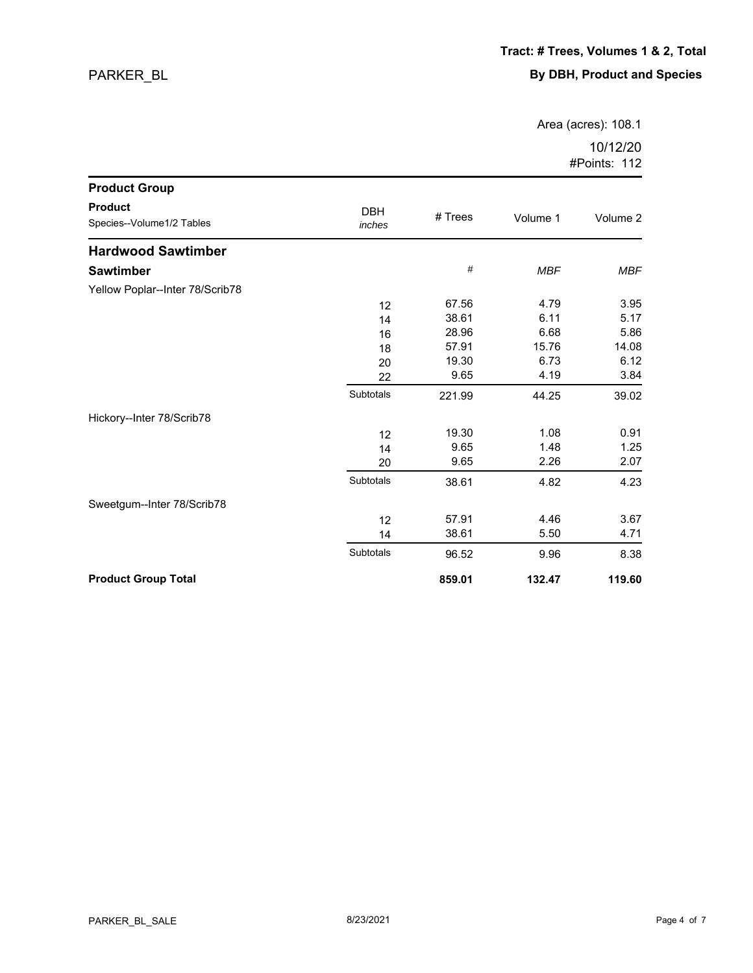Area (acres): 108.1

| <b>Product Group</b>                        |                      |         |            |            |
|---------------------------------------------|----------------------|---------|------------|------------|
| <b>Product</b><br>Species--Volume1/2 Tables | <b>DBH</b><br>inches | # Trees | Volume 1   | Volume 2   |
| <b>Hardwood Sawtimber</b>                   |                      |         |            |            |
| <b>Sawtimber</b>                            |                      | $\#$    | <b>MBF</b> | <b>MBF</b> |
| Yellow Poplar--Inter 78/Scrib78             |                      |         |            |            |
|                                             | 12                   | 67.56   | 4.79       | 3.95       |
|                                             | 14                   | 38.61   | 6.11       | 5.17       |
|                                             | 16                   | 28.96   | 6.68       | 5.86       |
|                                             | 18                   | 57.91   | 15.76      | 14.08      |
|                                             | 20                   | 19.30   | 6.73       | 6.12       |
|                                             | 22                   | 9.65    | 4.19       | 3.84       |
|                                             | Subtotals            | 221.99  | 44.25      | 39.02      |
| Hickory--Inter 78/Scrib78                   |                      |         |            |            |
|                                             | 12                   | 19.30   | 1.08       | 0.91       |
|                                             | 14                   | 9.65    | 1.48       | 1.25       |
|                                             | 20                   | 9.65    | 2.26       | 2.07       |
|                                             | Subtotals            | 38.61   | 4.82       | 4.23       |
| Sweetgum--Inter 78/Scrib78                  |                      |         |            |            |
|                                             | 12                   | 57.91   | 4.46       | 3.67       |
|                                             | 14                   | 38.61   | 5.50       | 4.71       |
|                                             | Subtotals            | 96.52   | 9.96       | 8.38       |
| <b>Product Group Total</b>                  |                      | 859.01  | 132.47     | 119.60     |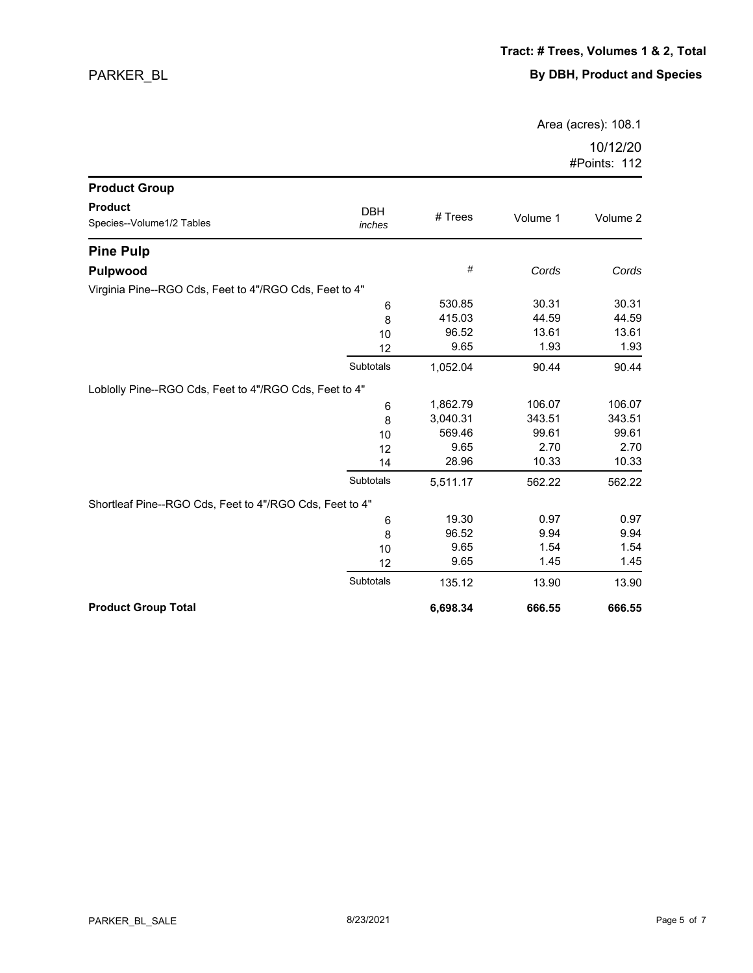Area (acres): 108.1

| <b>Product Group</b>                                    |                      |          |          |          |
|---------------------------------------------------------|----------------------|----------|----------|----------|
| <b>Product</b><br>Species--Volume1/2 Tables             | <b>DBH</b><br>inches | # Trees  | Volume 1 | Volume 2 |
| <b>Pine Pulp</b>                                        |                      |          |          |          |
| <b>Pulpwood</b>                                         |                      | #        | Cords    | Cords    |
| Virginia Pine--RGO Cds, Feet to 4"/RGO Cds, Feet to 4"  |                      |          |          |          |
|                                                         | 6                    | 530.85   | 30.31    | 30.31    |
|                                                         | 8                    | 415.03   | 44.59    | 44.59    |
|                                                         | 10                   | 96.52    | 13.61    | 13.61    |
|                                                         | 12                   | 9.65     | 1.93     | 1.93     |
|                                                         | Subtotals            | 1,052.04 | 90.44    | 90.44    |
| Loblolly Pine--RGO Cds, Feet to 4"/RGO Cds, Feet to 4"  |                      |          |          |          |
|                                                         | 6                    | 1,862.79 | 106.07   | 106.07   |
|                                                         | 8                    | 3,040.31 | 343.51   | 343.51   |
|                                                         | 10                   | 569.46   | 99.61    | 99.61    |
|                                                         | 12                   | 9.65     | 2.70     | 2.70     |
|                                                         | 14                   | 28.96    | 10.33    | 10.33    |
|                                                         | Subtotals            | 5,511.17 | 562.22   | 562.22   |
| Shortleaf Pine--RGO Cds, Feet to 4"/RGO Cds, Feet to 4" |                      |          |          |          |
|                                                         | 6                    | 19.30    | 0.97     | 0.97     |
|                                                         | 8                    | 96.52    | 9.94     | 9.94     |
|                                                         | 10                   | 9.65     | 1.54     | 1.54     |
|                                                         | 12                   | 9.65     | 1.45     | 1.45     |
|                                                         | Subtotals            | 135.12   | 13.90    | 13.90    |
| <b>Product Group Total</b>                              |                      | 6,698.34 | 666.55   | 666.55   |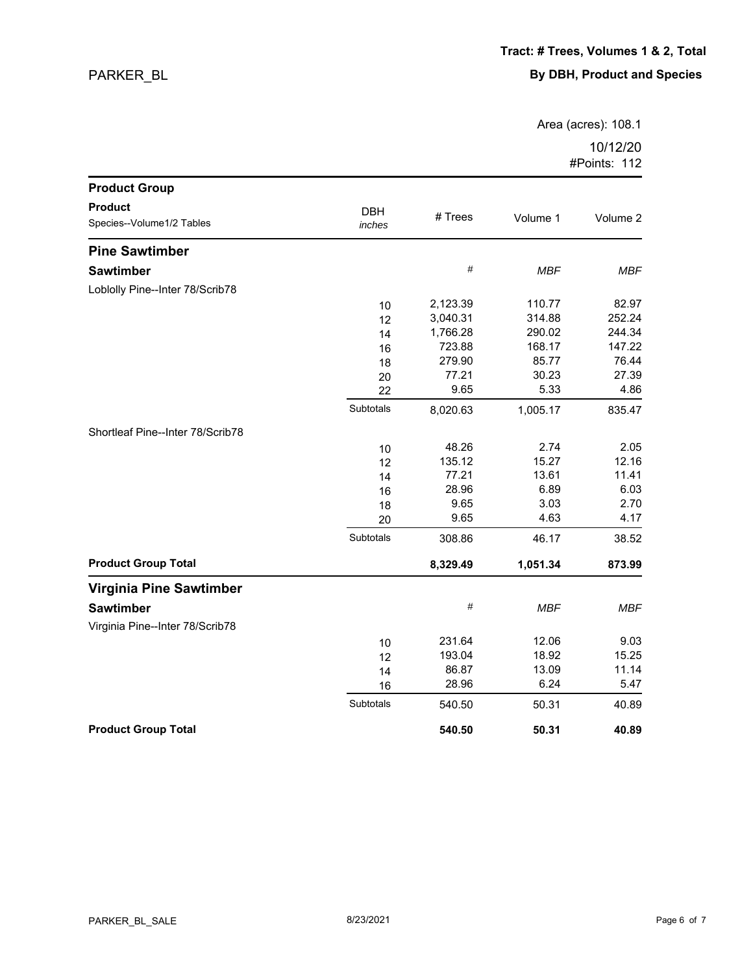Area (acres): 108.1

| <b>Product Group</b>                        |                      |          |            |            |
|---------------------------------------------|----------------------|----------|------------|------------|
| <b>Product</b><br>Species--Volume1/2 Tables | <b>DBH</b><br>inches | # Trees  | Volume 1   | Volume 2   |
| <b>Pine Sawtimber</b>                       |                      |          |            |            |
| <b>Sawtimber</b>                            |                      | $\#$     | <b>MBF</b> | MBF        |
| Loblolly Pine--Inter 78/Scrib78             |                      |          |            |            |
|                                             | 10                   | 2,123.39 | 110.77     | 82.97      |
|                                             | 12                   | 3,040.31 | 314.88     | 252.24     |
|                                             | 14                   | 1,766.28 | 290.02     | 244.34     |
|                                             | 16                   | 723.88   | 168.17     | 147.22     |
|                                             | 18                   | 279.90   | 85.77      | 76.44      |
|                                             | 20                   | 77.21    | 30.23      | 27.39      |
|                                             | 22                   | 9.65     | 5.33       | 4.86       |
|                                             | Subtotals            | 8,020.63 | 1,005.17   | 835.47     |
| Shortleaf Pine--Inter 78/Scrib78            |                      |          |            |            |
|                                             | 10                   | 48.26    | 2.74       | 2.05       |
|                                             | 12                   | 135.12   | 15.27      | 12.16      |
|                                             | 14                   | 77.21    | 13.61      | 11.41      |
|                                             | 16                   | 28.96    | 6.89       | 6.03       |
|                                             | 18                   | 9.65     | 3.03       | 2.70       |
|                                             | 20                   | 9.65     | 4.63       | 4.17       |
|                                             | Subtotals            | 308.86   | 46.17      | 38.52      |
| <b>Product Group Total</b>                  |                      | 8,329.49 | 1,051.34   | 873.99     |
| <b>Virginia Pine Sawtimber</b>              |                      |          |            |            |
| <b>Sawtimber</b>                            |                      | $\#$     | <b>MBF</b> | <b>MBF</b> |
| Virginia Pine--Inter 78/Scrib78             |                      |          |            |            |
|                                             | 10                   | 231.64   | 12.06      | 9.03       |
|                                             | 12                   | 193.04   | 18.92      | 15.25      |
|                                             | 14                   | 86.87    | 13.09      | 11.14      |
|                                             | 16                   | 28.96    | 6.24       | 5.47       |
|                                             | Subtotals            | 540.50   | 50.31      | 40.89      |
| <b>Product Group Total</b>                  |                      | 540.50   | 50.31      | 40.89      |